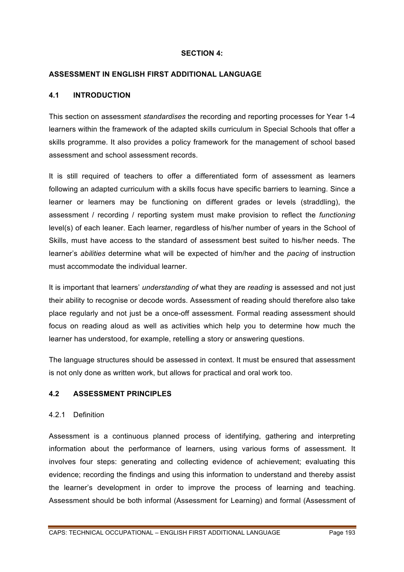### **SECTION 4:**

## **ASSESSMENT IN ENGLISH FIRST ADDITIONAL LANGUAGE**

### **4.1 INTRODUCTION**

This section on assessment *standardises* the recording and reporting processes for Year 1-4 learners within the framework of the adapted skills curriculum in Special Schools that offer a skills programme. It also provides a policy framework for the management of school based assessment and school assessment records.

It is still required of teachers to offer a differentiated form of assessment as learners following an adapted curriculum with a skills focus have specific barriers to learning. Since a learner or learners may be functioning on different grades or levels (straddling), the assessment / recording / reporting system must make provision to reflect the *functioning* level(s) of each leaner. Each learner, regardless of his/her number of years in the School of Skills, must have access to the standard of assessment best suited to his/her needs. The learner's *abilities* determine what will be expected of him/her and the *pacing* of instruction must accommodate the individual learner.

It is important that learners' *understanding of* what they are *reading* is assessed and not just their ability to recognise or decode words. Assessment of reading should therefore also take place regularly and not just be a once-off assessment. Formal reading assessment should focus on reading aloud as well as activities which help you to determine how much the learner has understood, for example, retelling a story or answering questions.

The language structures should be assessed in context. It must be ensured that assessment is not only done as written work, but allows for practical and oral work too.

## **4.2 ASSESSMENT PRINCIPLES**

#### 4.2.1 Definition

Assessment is a continuous planned process of identifying, gathering and interpreting information about the performance of learners, using various forms of assessment. It involves four steps: generating and collecting evidence of achievement; evaluating this evidence; recording the findings and using this information to understand and thereby assist the learner's development in order to improve the process of learning and teaching. Assessment should be both informal (Assessment for Learning) and formal (Assessment of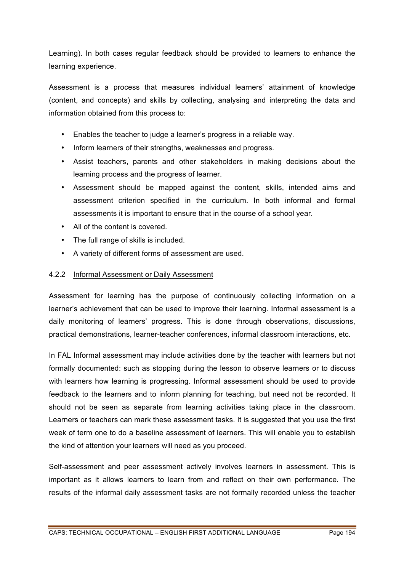Learning). In both cases regular feedback should be provided to learners to enhance the learning experience.

Assessment is a process that measures individual learners' attainment of knowledge (content, and concepts) and skills by collecting, analysing and interpreting the data and information obtained from this process to:

- Enables the teacher to judge a learner's progress in a reliable way.
- Inform learners of their strengths, weaknesses and progress.
- Assist teachers, parents and other stakeholders in making decisions about the learning process and the progress of learner.
- Assessment should be mapped against the content, skills, intended aims and assessment criterion specified in the curriculum. In both informal and formal assessments it is important to ensure that in the course of a school year.
- All of the content is covered.
- The full range of skills is included.
- A variety of different forms of assessment are used.

# 4.2.2 Informal Assessment or Daily Assessment

Assessment for learning has the purpose of continuously collecting information on a learner's achievement that can be used to improve their learning. Informal assessment is a daily monitoring of learners' progress. This is done through observations, discussions, practical demonstrations, learner-teacher conferences, informal classroom interactions, etc.

In FAL Informal assessment may include activities done by the teacher with learners but not formally documented: such as stopping during the lesson to observe learners or to discuss with learners how learning is progressing. Informal assessment should be used to provide feedback to the learners and to inform planning for teaching, but need not be recorded. It should not be seen as separate from learning activities taking place in the classroom. Learners or teachers can mark these assessment tasks. It is suggested that you use the first week of term one to do a baseline assessment of learners. This will enable you to establish the kind of attention your learners will need as you proceed.

Self-assessment and peer assessment actively involves learners in assessment. This is important as it allows learners to learn from and reflect on their own performance. The results of the informal daily assessment tasks are not formally recorded unless the teacher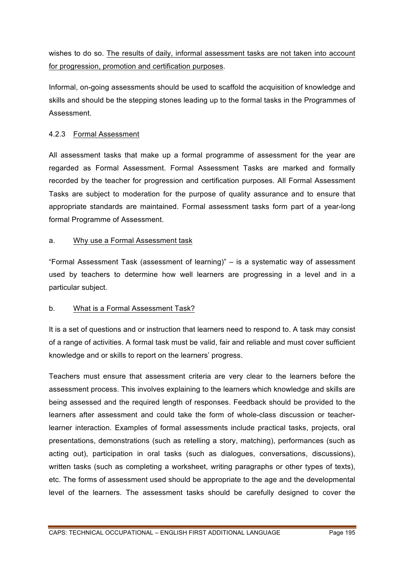wishes to do so. The results of daily, informal assessment tasks are not taken into account for progression, promotion and certification purposes.

Informal, on-going assessments should be used to scaffold the acquisition of knowledge and skills and should be the stepping stones leading up to the formal tasks in the Programmes of Assessment.

# 4.2.3 Formal Assessment

All assessment tasks that make up a formal programme of assessment for the year are regarded as Formal Assessment. Formal Assessment Tasks are marked and formally recorded by the teacher for progression and certification purposes. All Formal Assessment Tasks are subject to moderation for the purpose of quality assurance and to ensure that appropriate standards are maintained. Formal assessment tasks form part of a year-long formal Programme of Assessment.

# a. Why use a Formal Assessment task

"Formal Assessment Task (assessment of learning)" – is a systematic way of assessment used by teachers to determine how well learners are progressing in a level and in a particular subject.

# b. What is a Formal Assessment Task?

It is a set of questions and or instruction that learners need to respond to. A task may consist of a range of activities. A formal task must be valid, fair and reliable and must cover sufficient knowledge and or skills to report on the learners' progress.

Teachers must ensure that assessment criteria are very clear to the learners before the assessment process. This involves explaining to the learners which knowledge and skills are being assessed and the required length of responses. Feedback should be provided to the learners after assessment and could take the form of whole-class discussion or teacherlearner interaction. Examples of formal assessments include practical tasks, projects, oral presentations, demonstrations (such as retelling a story, matching), performances (such as acting out), participation in oral tasks (such as dialogues, conversations, discussions), written tasks (such as completing a worksheet, writing paragraphs or other types of texts), etc. The forms of assessment used should be appropriate to the age and the developmental level of the learners. The assessment tasks should be carefully designed to cover the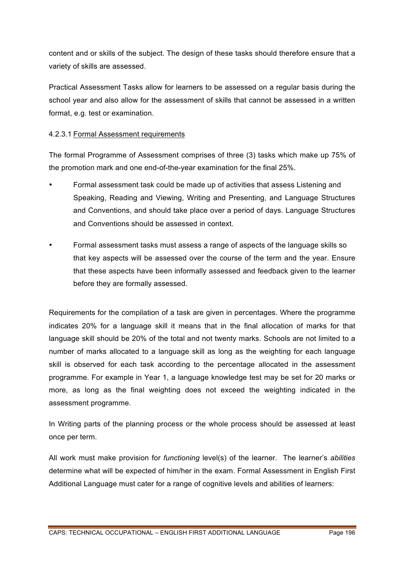content and or skills of the subject. The design of these tasks should therefore ensure that a variety of skills are assessed.

Practical Assessment Tasks allow for learners to be assessed on a regular basis during the school year and also allow for the assessment of skills that cannot be assessed in a written format, e.g. test or examination.

# 4.2.3.1 Formal Assessment requirements

The formal Programme of Assessment comprises of three (3) tasks which make up 75% of the promotion mark and one end-of-the-year examination for the final 25%.

- Formal assessment task could be made up of activities that assess Listening and Speaking, Reading and Viewing, Writing and Presenting, and Language Structures and Conventions, and should take place over a period of days. Language Structures and Conventions should be assessed in context.
- Formal assessment tasks must assess a range of aspects of the language skills so that key aspects will be assessed over the course of the term and the year. Ensure that these aspects have been informally assessed and feedback given to the learner before they are formally assessed.

Requirements for the compilation of a task are given in percentages. Where the programme indicates 20% for a language skill it means that in the final allocation of marks for that language skill should be 20% of the total and not twenty marks. Schools are not limited to a number of marks allocated to a language skill as long as the weighting for each language skill is observed for each task according to the percentage allocated in the assessment programme. For example in Year 1, a language knowledge test may be set for 20 marks or more, as long as the final weighting does not exceed the weighting indicated in the assessment programme.

In Writing parts of the planning process or the whole process should be assessed at least once per term.

All work must make provision for *functioning* level(s) of the learner. The learner's *abilities* determine what will be expected of him/her in the exam. Formal Assessment in English First Additional Language must cater for a range of cognitive levels and abilities of learners: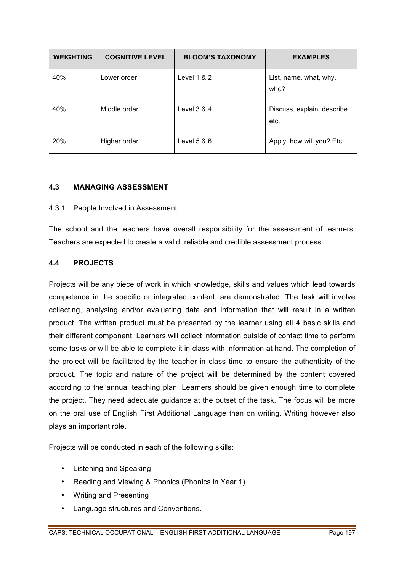| <b>WEIGHTING</b> | <b>COGNITIVE LEVEL</b> | <b>BLOOM'S TAXONOMY</b> | <b>EXAMPLES</b>                    |
|------------------|------------------------|-------------------------|------------------------------------|
| 40%              | Lower order            | Level $1 & 2$           | List, name, what, why,<br>who?     |
| 40%              | Middle order           | Level $3 & 4$           | Discuss, explain, describe<br>etc. |
| 20%              | Higher order           | Level $5 & 6$           | Apply, how will you? Etc.          |

# **4.3 MANAGING ASSESSMENT**

### 4.3.1 People Involved in Assessment

The school and the teachers have overall responsibility for the assessment of learners. Teachers are expected to create a valid, reliable and credible assessment process.

## **4.4 PROJECTS**

Projects will be any piece of work in which knowledge, skills and values which lead towards competence in the specific or integrated content, are demonstrated. The task will involve collecting, analysing and/or evaluating data and information that will result in a written product. The written product must be presented by the learner using all 4 basic skills and their different component. Learners will collect information outside of contact time to perform some tasks or will be able to complete it in class with information at hand. The completion of the project will be facilitated by the teacher in class time to ensure the authenticity of the product. The topic and nature of the project will be determined by the content covered according to the annual teaching plan. Learners should be given enough time to complete the project. They need adequate guidance at the outset of the task. The focus will be more on the oral use of English First Additional Language than on writing. Writing however also plays an important role.

Projects will be conducted in each of the following skills:

- Listening and Speaking
- Reading and Viewing & Phonics (Phonics in Year 1)
- Writing and Presenting
- Language structures and Conventions.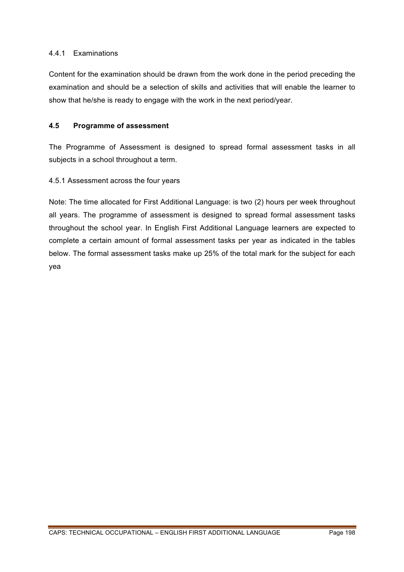## 4.4.1 Examinations

Content for the examination should be drawn from the work done in the period preceding the examination and should be a selection of skills and activities that will enable the learner to show that he/she is ready to engage with the work in the next period/year.

### **4.5 Programme of assessment**

The Programme of Assessment is designed to spread formal assessment tasks in all subjects in a school throughout a term.

### 4.5.1 Assessment across the four years

Note: The time allocated for First Additional Language: is two (2) hours per week throughout all years. The programme of assessment is designed to spread formal assessment tasks throughout the school year. In English First Additional Language learners are expected to complete a certain amount of formal assessment tasks per year as indicated in the tables below. The formal assessment tasks make up 25% of the total mark for the subject for each yea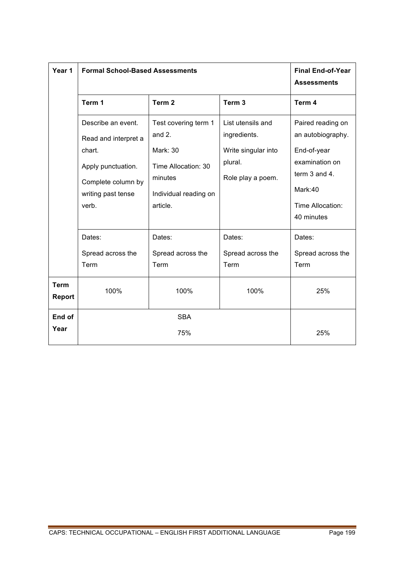| Year 1                | <b>Formal School-Based Assessments</b>                                                                                          | <b>Final End-of-Year</b><br><b>Assessments</b>                                                                             |                                                                                          |                                                                                                                         |
|-----------------------|---------------------------------------------------------------------------------------------------------------------------------|----------------------------------------------------------------------------------------------------------------------------|------------------------------------------------------------------------------------------|-------------------------------------------------------------------------------------------------------------------------|
|                       | Term 1                                                                                                                          | Term <sub>2</sub>                                                                                                          | Term <sub>3</sub>                                                                        | Term 4                                                                                                                  |
|                       | Describe an event.<br>Read and interpret a<br>chart.<br>Apply punctuation.<br>Complete column by<br>writing past tense<br>verb. | Test covering term 1<br>and $2.$<br><b>Mark: 30</b><br>Time Allocation: 30<br>minutes<br>Individual reading on<br>article. | List utensils and<br>ingredients.<br>Write singular into<br>plural.<br>Role play a poem. | Paired reading on<br>an autobiography.<br>End-of-year<br>examination on<br>term 3 and 4.<br>Mark:40<br>Time Allocation: |
|                       |                                                                                                                                 |                                                                                                                            |                                                                                          | 40 minutes                                                                                                              |
|                       | Dates:<br>Spread across the<br>Term                                                                                             | Dates:<br>Spread across the<br>Term                                                                                        | Dates:<br>Spread across the<br>Term                                                      | Dates:<br>Spread across the<br>Term                                                                                     |
| <b>Term</b><br>Report | 100%                                                                                                                            | 100%                                                                                                                       | 100%                                                                                     | 25%                                                                                                                     |
| End of<br>Year        |                                                                                                                                 | <b>SBA</b><br>75%                                                                                                          |                                                                                          | 25%                                                                                                                     |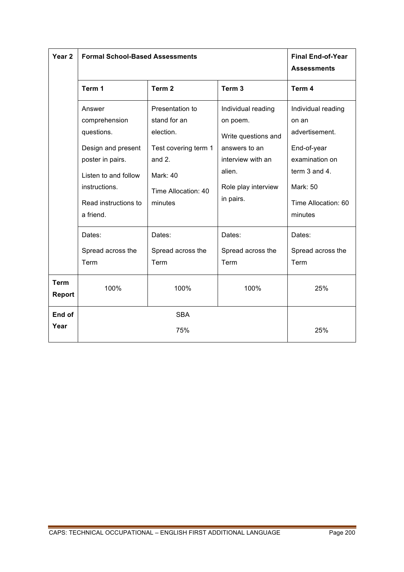| Year <sub>2</sub>            | <b>Formal School-Based Assessments</b>                                                                                                                        | <b>Final End-of-Year</b><br><b>Assessments</b>                                                                                      |                                                                                                                                           |                                                                                                                                               |
|------------------------------|---------------------------------------------------------------------------------------------------------------------------------------------------------------|-------------------------------------------------------------------------------------------------------------------------------------|-------------------------------------------------------------------------------------------------------------------------------------------|-----------------------------------------------------------------------------------------------------------------------------------------------|
|                              | Term 1                                                                                                                                                        | Term <sub>2</sub>                                                                                                                   | Term <sub>3</sub>                                                                                                                         | Term 4                                                                                                                                        |
|                              | Answer<br>comprehension<br>questions.<br>Design and present<br>poster in pairs.<br>Listen to and follow<br>instructions.<br>Read instructions to<br>a friend. | Presentation to<br>stand for an<br>election.<br>Test covering term 1<br>and 2.<br><b>Mark: 40</b><br>Time Allocation: 40<br>minutes | Individual reading<br>on poem.<br>Write questions and<br>answers to an<br>interview with an<br>alien.<br>Role play interview<br>in pairs. | Individual reading<br>on an<br>advertisement.<br>End-of-year<br>examination on<br>term 3 and 4.<br>Mark: 50<br>Time Allocation: 60<br>minutes |
|                              | Dates:                                                                                                                                                        | Dates:                                                                                                                              | Dates:                                                                                                                                    | Dates:                                                                                                                                        |
|                              | Spread across the<br>Term                                                                                                                                     | Spread across the<br>Term                                                                                                           | Spread across the<br>Term                                                                                                                 | Spread across the<br>Term                                                                                                                     |
| <b>Term</b><br><b>Report</b> | 100%                                                                                                                                                          | 100%                                                                                                                                | 100%                                                                                                                                      | 25%                                                                                                                                           |
| End of                       | <b>SBA</b>                                                                                                                                                    |                                                                                                                                     |                                                                                                                                           |                                                                                                                                               |
| Year                         | 75%                                                                                                                                                           |                                                                                                                                     |                                                                                                                                           | 25%                                                                                                                                           |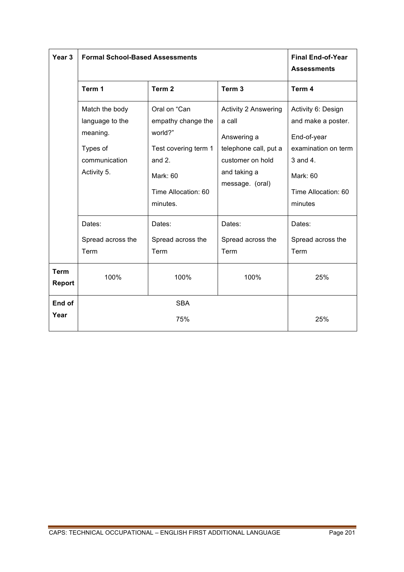| Year <sub>3</sub>     | <b>Formal School-Based Assessments</b>                                                    | <b>Final End-of-Year</b><br><b>Assessments</b>                                                                                   |                                                                                                                                      |                                                                                                                                          |
|-----------------------|-------------------------------------------------------------------------------------------|----------------------------------------------------------------------------------------------------------------------------------|--------------------------------------------------------------------------------------------------------------------------------------|------------------------------------------------------------------------------------------------------------------------------------------|
|                       | Term 1                                                                                    | Term <sub>2</sub>                                                                                                                | Term <sub>3</sub>                                                                                                                    | Term 4                                                                                                                                   |
|                       | Match the body<br>language to the<br>meaning.<br>Types of<br>communication<br>Activity 5. | Oral on "Can<br>empathy change the<br>world?"<br>Test covering term 1<br>and $2.$<br>Mark: 60<br>Time Allocation: 60<br>minutes. | <b>Activity 2 Answering</b><br>a call<br>Answering a<br>telephone call, put a<br>customer on hold<br>and taking a<br>message. (oral) | Activity 6: Design<br>and make a poster.<br>End-of-year<br>examination on term<br>3 and 4.<br>Mark: 60<br>Time Allocation: 60<br>minutes |
|                       | Dates:<br>Spread across the<br>Term                                                       | Dates:<br>Spread across the<br>Term                                                                                              | Dates:<br>Spread across the<br>Term                                                                                                  | Dates:<br>Spread across the<br>Term                                                                                                      |
| <b>Term</b><br>Report | 100%                                                                                      | 100%                                                                                                                             | 100%                                                                                                                                 | 25%                                                                                                                                      |
| End of<br>Year        |                                                                                           | <b>SBA</b><br>75%                                                                                                                |                                                                                                                                      | 25%                                                                                                                                      |